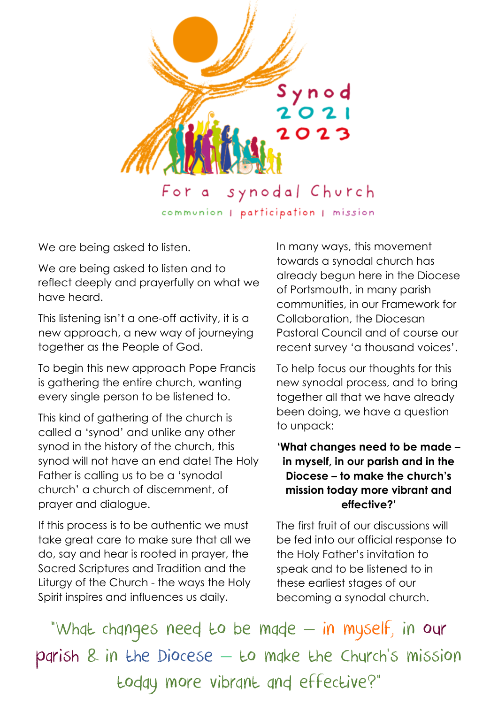

communion | participation | mission

We are being asked to listen.

We are being asked to listen and to reflect deeply and prayerfully on what we have heard.

This listening isn't a one-off activity, it is a new approach, a new way of journeying together as the People of God.

To begin this new approach Pope Francis is gathering the entire church, wanting every single person to be listened to.

This kind of gathering of the church is called a 'synod' and unlike any other synod in the history of the church, this synod will not have an end date! The Holy Father is calling us to be a 'synodal church' a church of discernment, of prayer and dialogue.

If this process is to be authentic we must take great care to make sure that all we do, say and hear is rooted in prayer, the Sacred Scriptures and Tradition and the Liturgy of the Church - the ways the Holy Spirit inspires and influences us daily.

In many ways, this movement towards a synodal church has already begun here in the Diocese of Portsmouth, in many parish communities, in our Framework for Collaboration, the Diocesan Pastoral Council and of course our recent survey 'a thousand voices'.

To help focus our thoughts for this new synodal process, and to bring together all that we have already been doing, we have a question to unpack:

## **'What changes need to be made – in myself, in our parish and in the Diocese – to make the church's mission today more vibrant and effective?'**

The first fruit of our discussions will be fed into our official response to the Holy Father's invitation to speak and to be listened to in these earliest stages of our becoming a synodal church.

"What changes need to be made – in myself, in our parish & in the Diocese – to make the Church's mission today more vibrant and effective?"